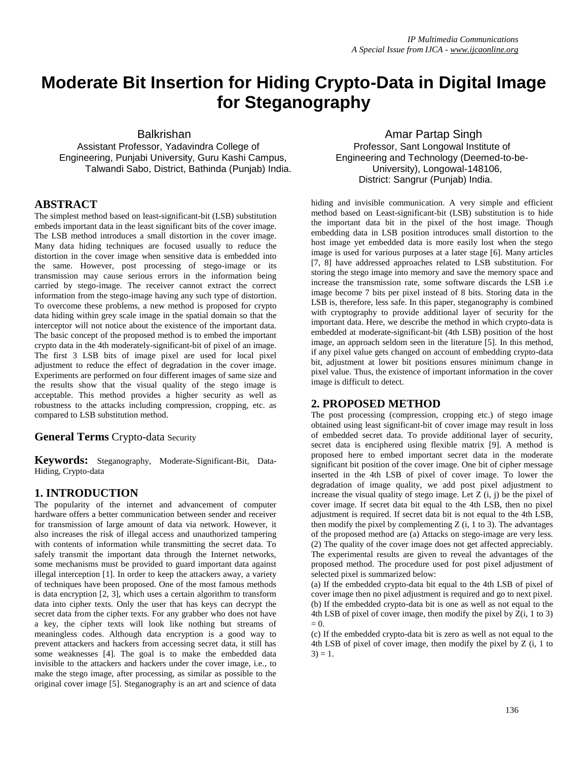# **Moderate Bit Insertion for Hiding Crypto-Data in Digital Image for Steganography**

Assistant Professor, Yadavindra College of Professor, Sant Longowal Institute of Engineering, Punjabi University, Guru Kashi Campus, Engineering and Technology (Deemed-to-be-Talwandi Sabo, District, Bathinda (Punjab) India. University), Longowal-148106,

# **ABSTRACT**

The simplest method based on least-significant-bit (LSB) substitution embeds important data in the least significant bits of the cover image. The LSB method introduces a small distortion in the cover image. Many data hiding techniques are focused usually to reduce the distortion in the cover image when sensitive data is embedded into the same. However, post processing of stego-image or its transmission may cause serious errors in the information being carried by stego-image. The receiver cannot extract the correct information from the stego-image having any such type of distortion. To overcome these problems, a new method is proposed for crypto data hiding within grey scale image in the spatial domain so that the interceptor will not notice about the existence of the important data. The basic concept of the proposed method is to embed the important crypto data in the 4th moderately-significant-bit of pixel of an image. The first 3 LSB bits of image pixel are used for local pixel adjustment to reduce the effect of degradation in the cover image. Experiments are performed on four different images of same size and the results show that the visual quality of the stego image is acceptable. This method provides a higher security as well as robustness to the attacks including compression, cropping, etc. as compared to LSB substitution method.

# **General Terms** Crypto-data Security

**Keywords:** Steganography, Moderate-Significant-Bit, Data-Hiding, Crypto-data

# **1. INTRODUCTION**

The popularity of the internet and advancement of computer hardware offers a better communication between sender and receiver for transmission of large amount of data via network. However, it also increases the risk of illegal access and unauthorized tampering with contents of information while transmitting the secret data. To safely transmit the important data through the Internet networks, some mechanisms must be provided to guard important data against illegal interception [1]. In order to keep the attackers away, a variety of techniques have been proposed. One of the most famous methods is data encryption [2, 3], which uses a certain algorithm to transform data into cipher texts. Only the user that has keys can decrypt the secret data from the cipher texts. For any grabber who does not have a key, the cipher texts will look like nothing but streams of meaningless codes. Although data encryption is a good way to prevent attackers and hackers from accessing secret data, it still has some weaknesses [4]. The goal is to make the embedded data invisible to the attackers and hackers under the cover image, i.e., to make the stego image, after processing, as similar as possible to the original cover image [5]. Steganography is an art and science of data

# Balkrishan **Amar Partap Singh** Amar Partap Singh District: Sangrur (Punjab) India.

hiding and invisible communication. A very simple and efficient method based on Least-significant-bit (LSB) substitution is to hide the important data bit in the pixel of the host image. Though embedding data in LSB position introduces small distortion to the host image yet embedded data is more easily lost when the stego image is used for various purposes at a later stage [6]. Many articles [7, 8] have addressed approaches related to LSB substitution. For storing the stego image into memory and save the memory space and increase the transmission rate, some software discards the LSB i.e image become 7 bits per pixel instead of 8 bits. Storing data in the LSB is, therefore, less safe. In this paper, steganography is combined with cryptography to provide additional layer of security for the important data. Here, we describe the method in which crypto-data is embedded at moderate-significant-bit (4th LSB) position of the host image, an approach seldom seen in the literature [5]. In this method, if any pixel value gets changed on account of embedding crypto-data bit, adjustment at lower bit positions ensures minimum change in pixel value. Thus, the existence of important information in the cover image is difficult to detect.

# **2. PROPOSED METHOD**

The post processing (compression, cropping etc.) of stego image obtained using least significant-bit of cover image may result in loss of embedded secret data. To provide additional layer of security, secret data is enciphered using flexible matrix [9]. A method is proposed here to embed important secret data in the moderate significant bit position of the cover image. One bit of cipher message inserted in the 4th LSB of pixel of cover image. To lower the degradation of image quality, we add post pixel adjustment to increase the visual quality of stego image. Let  $Z$  (i, j) be the pixel of cover image. If secret data bit equal to the 4th LSB, then no pixel adjustment is required. If secret data bit is not equal to the 4th LSB, then modify the pixel by complementing  $Z$  (i, 1 to 3). The advantages of the proposed method are (a) Attacks on stego-image are very less. (2) The quality of the cover image does not get affected appreciably. The experimental results are given to reveal the advantages of the proposed method. The procedure used for post pixel adjustment of selected pixel is summarized below:

(a) If the embedded crypto-data bit equal to the 4th LSB of pixel of cover image then no pixel adjustment is required and go to next pixel. (b) If the embedded crypto-data bit is one as well as not equal to the 4th LSB of pixel of cover image, then modify the pixel by Z(i, 1 to 3)  $= 0.$ 

(c) If the embedded crypto-data bit is zero as well as not equal to the 4th LSB of pixel of cover image, then modify the pixel by Z (i, 1 to  $3) = 1.$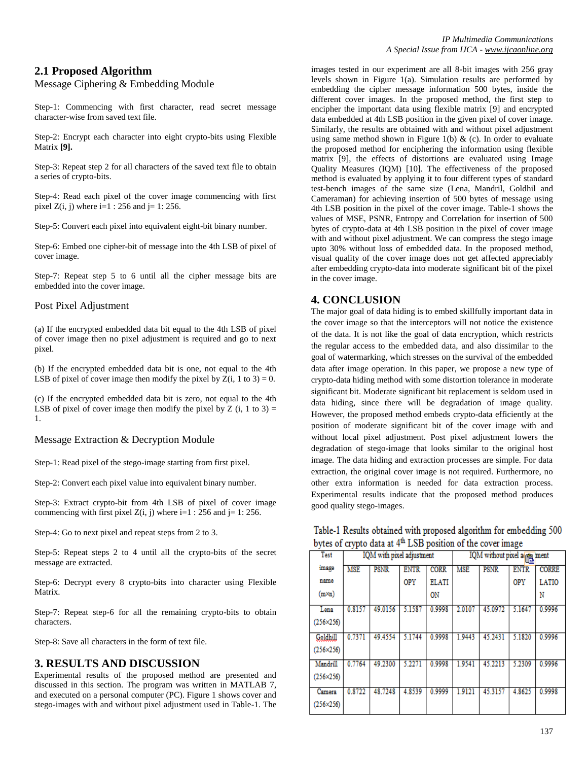# **2.1 Proposed Algorithm**

#### Message Ciphering & Embedding Module

Step-1: Commencing with first character, read secret message character-wise from saved text file.

Step-2: Encrypt each character into eight crypto-bits using Flexible Matrix **[9].**

Step-3: Repeat step 2 for all characters of the saved text file to obtain a series of crypto-bits.

Step-4: Read each pixel of the cover image commencing with first pixel  $Z(i, j)$  where  $i=1$  : 256 and  $j=1$ : 256.

Step-5: Convert each pixel into equivalent eight-bit binary number.

Step-6: Embed one cipher-bit of message into the 4th LSB of pixel of cover image.

Step-7: Repeat step 5 to 6 until all the cipher message bits are embedded into the cover image.

#### Post Pixel Adjustment

(a) If the encrypted embedded data bit equal to the 4th LSB of pixel of cover image then no pixel adjustment is required and go to next pixel.

(b) If the encrypted embedded data bit is one, not equal to the 4th LSB of pixel of cover image then modify the pixel by  $Z(i, 1 to 3) = 0$ .

(c) If the encrypted embedded data bit is zero, not equal to the 4th LSB of pixel of cover image then modify the pixel by  $Z(i, 1 to 3) =$ 1.

#### Message Extraction & Decryption Module

Step-1: Read pixel of the stego-image starting from first pixel.

Step-2: Convert each pixel value into equivalent binary number.

Step-3: Extract crypto-bit from 4th LSB of pixel of cover image commencing with first pixel  $Z(i, j)$  where  $i=1 : 256$  and  $j=1 : 256$ .

Step-4: Go to next pixel and repeat steps from 2 to 3.

Step-5: Repeat steps 2 to 4 until all the crypto-bits of the secret message are extracted.

Step-6: Decrypt every 8 crypto-bits into character using Flexible Matrix.

Step-7: Repeat step-6 for all the remaining crypto-bits to obtain characters.

Step-8: Save all characters in the form of text file.

#### **3. RESULTS AND DISCUSSION**

Experimental results of the proposed method are presented and discussed in this section. The program was written in MATLAB 7, and executed on a personal computer (PC). Figure 1 shows cover and stego-images with and without pixel adjustment used in Table-1. The images tested in our experiment are all 8-bit images with 256 gray levels shown in Figure 1(a). Simulation results are performed by embedding the cipher message information 500 bytes, inside the different cover images. In the proposed method, the first step to encipher the important data using flexible matrix [9] and encrypted data embedded at 4th LSB position in the given pixel of cover image. Similarly, the results are obtained with and without pixel adjustment using same method shown in Figure 1(b)  $\&$  (c). In order to evaluate the proposed method for enciphering the information using flexible matrix [9], the effects of distortions are evaluated using Image Quality Measures (IQM) [10]. The effectiveness of the proposed method is evaluated by applying it to four different types of standard test-bench images of the same size (Lena, Mandril, Goldhil and Cameraman) for achieving insertion of 500 bytes of message using 4th LSB position in the pixel of the cover image. Table-1 shows the values of MSE, PSNR, Entropy and Correlation for insertion of 500 bytes of crypto-data at 4th LSB position in the pixel of cover image with and without pixel adjustment. We can compress the stego image upto 30% without loss of embedded data. In the proposed method, visual quality of the cover image does not get affected appreciably after embedding crypto-data into moderate significant bit of the pixel in the cover image.

# **4. CONCLUSION**

The major goal of data hiding is to embed skillfully important data in the cover image so that the interceptors will not notice the existence of the data. It is not like the goal of data encryption, which restricts the regular access to the embedded data, and also dissimilar to the goal of watermarking, which stresses on the survival of the embedded data after image operation. In this paper, we propose a new type of crypto-data hiding method with some distortion tolerance in moderate significant bit. Moderate significant bit replacement is seldom used in data hiding, since there will be degradation of image quality. However, the proposed method embeds crypto-data efficiently at the position of moderate significant bit of the cover image with and without local pixel adjustment. Post pixel adjustment lowers the degradation of stego-image that looks similar to the original host image. The data hiding and extraction processes are simple. For data extraction, the original cover image is not required. Furthermore, no other extra information is needed for data extraction process. Experimental results indicate that the proposed method produces good quality stego-images.

| overs of erypto data at Thomposition of the cover mage |                           |             |             |              |                          |             |             |              |
|--------------------------------------------------------|---------------------------|-------------|-------------|--------------|--------------------------|-------------|-------------|--------------|
| Test                                                   | IQM with pixel adjustment |             |             |              | IQM without pixel a ment |             |             |              |
| image                                                  | <b>MSE</b>                | <b>PSNR</b> | <b>ENTR</b> | <b>CORR</b>  | <b>MSE</b>               | <b>PSNR</b> | <b>ENTR</b> | <b>CORRE</b> |
| name                                                   |                           |             | <b>OPY</b>  | <b>ELATI</b> |                          |             | <b>OPY</b>  | LATIO        |
| $(m \times n)$                                         |                           |             |             | ON           |                          |             |             | N            |
| Lena                                                   | 0.8157                    | 49.0156     | 5.1587      | 0.9998       | 2.0107                   | 45.0972     | 5.1647      | 0.9996       |
| $(256 \times 256)$                                     |                           |             |             |              |                          |             |             |              |
| Goldhill                                               | 0.7371                    | 49.4554     | 5.1744      | 0.9998       | 1.9443                   | 45.2431     | 5.1820      | 0.9996       |
| $(256 \times 256)$                                     |                           |             |             |              |                          |             |             |              |
| Mandrill                                               | 0.7764                    | 49.2300     | 5.2271      | 0.9998       | 1.9541                   | 45.2213     | 5.2309      | 0.9996       |
| $(256 \times 256)$                                     |                           |             |             |              |                          |             |             |              |
| Camera                                                 | 0.8722                    | 48.7248     | 4.8539      | 0.9999       | 1.9121                   | 45.3157     | 4.8625      | 0.9998       |
| $(256 \times 256)$                                     |                           |             |             |              |                          |             |             |              |

#### Table-1 Results obtained with proposed algorithm for embedding 500 bytes of crypto data at 4<sup>th</sup> LSB position of the cover image